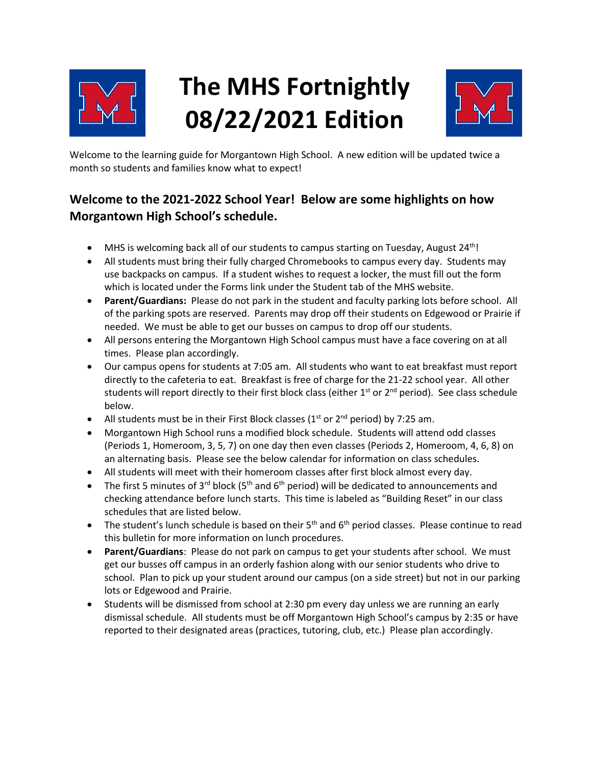

# **The MHS Fortnightly 08/22/2021 Edition**



Welcome to the learning guide for Morgantown High School. A new edition will be updated twice a month so students and families know what to expect!

### **Welcome to the 2021-2022 School Year! Below are some highlights on how Morgantown High School's schedule.**

- MHS is welcoming back all of our students to campus starting on Tuesday, August 24<sup>th</sup>!
- All students must bring their fully charged Chromebooks to campus every day. Students may use backpacks on campus. If a student wishes to request a locker, the must fill out the form which is located under the Forms link under the Student tab of the MHS website.
- **Parent/Guardians:** Please do not park in the student and faculty parking lots before school. All of the parking spots are reserved. Parents may drop off their students on Edgewood or Prairie if needed. We must be able to get our busses on campus to drop off our students.
- All persons entering the Morgantown High School campus must have a face covering on at all times. Please plan accordingly.
- Our campus opens for students at 7:05 am. All students who want to eat breakfast must report directly to the cafeteria to eat. Breakfast is free of charge for the 21-22 school year. All other students will report directly to their first block class (either 1<sup>st</sup> or 2<sup>nd</sup> period). See class schedule below.
- All students must be in their First Block classes ( $1<sup>st</sup>$  or  $2<sup>nd</sup>$  period) by 7:25 am.
- Morgantown High School runs a modified block schedule. Students will attend odd classes (Periods 1, Homeroom, 3, 5, 7) on one day then even classes (Periods 2, Homeroom, 4, 6, 8) on an alternating basis. Please see the below calendar for information on class schedules.
- All students will meet with their homeroom classes after first block almost every day.
- The first 5 minutes of 3<sup>rd</sup> block (5<sup>th</sup> and 6<sup>th</sup> period) will be dedicated to announcements and checking attendance before lunch starts. This time is labeled as "Building Reset" in our class schedules that are listed below.
- The student's lunch schedule is based on their  $5<sup>th</sup>$  and  $6<sup>th</sup>$  period classes. Please continue to read this bulletin for more information on lunch procedures.
- **Parent/Guardians**: Please do not park on campus to get your students after school. We must get our busses off campus in an orderly fashion along with our senior students who drive to school. Plan to pick up your student around our campus (on a side street) but not in our parking lots or Edgewood and Prairie.
- Students will be dismissed from school at 2:30 pm every day unless we are running an early dismissal schedule. All students must be off Morgantown High School's campus by 2:35 or have reported to their designated areas (practices, tutoring, club, etc.) Please plan accordingly.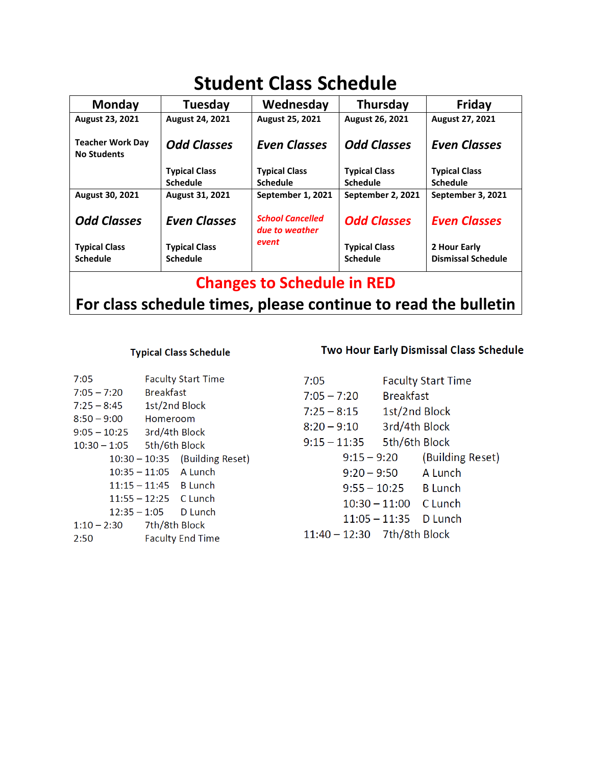# **Student Class Schedule**

| <b>Monday</b>                                 | Tuesday              | Wednesday                                 | <b>Thursday</b>      | Friday                    |
|-----------------------------------------------|----------------------|-------------------------------------------|----------------------|---------------------------|
| <b>August 23, 2021</b>                        | August 24, 2021      | August 25, 2021                           | August 26, 2021      | <b>August 27, 2021</b>    |
| <b>Teacher Work Day</b><br><b>No Students</b> | <b>Odd Classes</b>   | <b>Even Classes</b>                       | <b>Odd Classes</b>   | <b>Even Classes</b>       |
|                                               | <b>Typical Class</b> | <b>Typical Class</b>                      | <b>Typical Class</b> | <b>Typical Class</b>      |
|                                               | <b>Schedule</b>      | <b>Schedule</b>                           | <b>Schedule</b>      | <b>Schedule</b>           |
| August 30, 2021                               | August 31, 2021      | September 1, 2021                         | September 2, 2021    | September 3, 2021         |
| <b>Odd Classes</b>                            | <b>Even Classes</b>  | <b>School Cancelled</b><br>due to weather | <b>Odd Classes</b>   | <b>Even Classes</b>       |
| <b>Typical Class</b>                          | <b>Typical Class</b> | event                                     | <b>Typical Class</b> | 2 Hour Early              |
| <b>Schedule</b>                               | <b>Schedule</b>      |                                           | <b>Schedule</b>      | <b>Dismissal Schedule</b> |
| <b>Changes to Schedule in RED</b>             |                      |                                           |                      |                           |

# **For class schedule times, please continue to read the bulletin**

### **Typical Class Schedule**

| 7:05                       |                         | <b>Faculty Start Time</b> |
|----------------------------|-------------------------|---------------------------|
| $7:05 - 7:20$              | <b>Breakfast</b>        |                           |
| $7:25 - 8:45$              | 1st/2nd Block           |                           |
| $8:50 - 9:00$              | Homeroom                |                           |
| $9:05 - 10:25$             | 3rd/4th Block           |                           |
| 10:30 - 1:05 5th/6th Block |                         |                           |
|                            | $10:30 - 10:35$         | (Building Reset)          |
|                            | $10:35 - 11:05$ A Lunch |                           |
|                            | $11:15 - 11:45$ B Lunch |                           |
|                            | $11:55 - 12:25$ C Lunch |                           |
|                            | 12:35 - 1:05            | D Lunch                   |
| $1:10 - 2:30$              | 7th/8th Block           |                           |
| 2:50                       |                         | <b>Faculty End Time</b>   |

### Two Hour Early Dismissal Class Schedule

| 7:05                        |                         | <b>Faculty Start Time</b> |
|-----------------------------|-------------------------|---------------------------|
| $7:05 - 7:20$               | <b>Breakfast</b>        |                           |
| $7:25 - 8:15$               | 1st/2nd Block           |                           |
| $8:20 - 9:10$               | 3rd/4th Block           |                           |
| $9:15 - 11:35$              | 5th/6th Block           |                           |
| $9:15 - 9:20$               |                         | (Building Reset)          |
| $9:20 - 9:50$               |                         | A Lunch                   |
|                             | $9:55 - 10:25$ B Lunch  |                           |
|                             | $10:30 - 11:00$ C Lunch |                           |
|                             | 11:05 – 11:35           | D Lunch                   |
| 11:40 - 12:30 7th/8th Block |                         |                           |